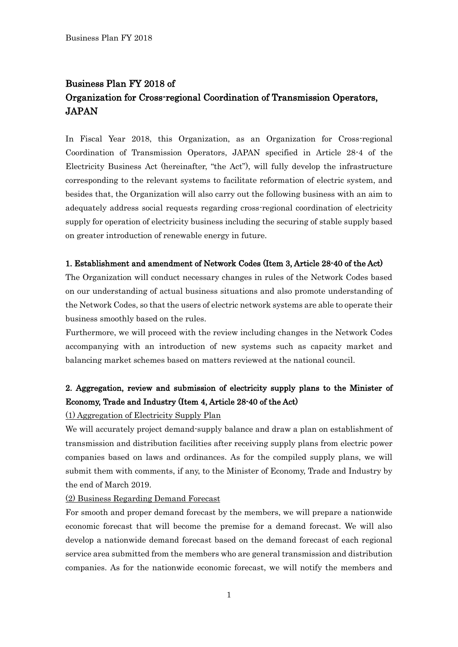# Business Plan FY 2018 of Organization for Cross-regional Coordination of Transmission Operators, **JAPAN**

In Fiscal Year 2018, this Organization, as an Organization for Cross-regional Coordination of Transmission Operators, JAPAN specified in Article 28-4 of the Electricity Business Act (hereinafter, "the Act"), will fully develop the infrastructure corresponding to the relevant systems to facilitate reformation of electric system, and besides that, the Organization will also carry out the following business with an aim to adequately address social requests regarding cross-regional coordination of electricity supply for operation of electricity business including the securing of stable supply based on greater introduction of renewable energy in future.

### 1. Establishment and amendment of Network Codes (Item 3, Article 28-40 of the Act)

The Organization will conduct necessary changes in rules of the Network Codes based on our understanding of actual business situations and also promote understanding of the Network Codes, so that the users of electric network systems are able to operate their business smoothly based on the rules.

Furthermore, we will proceed with the review including changes in the Network Codes accompanying with an introduction of new systems such as capacity market and balancing market schemes based on matters reviewed at the national council.

# 2. Aggregation, review and submission of electricity supply plans to the Minister of Economy, Trade and Industry (Item 4, Article 28-40 of the Act)

### (1) Aggregation of Electricity Supply Plan

We will accurately project demand-supply balance and draw a plan on establishment of transmission and distribution facilities after receiving supply plans from electric power companies based on laws and ordinances. As for the compiled supply plans, we will submit them with comments, if any, to the Minister of Economy, Trade and Industry by the end of March 2019.

### (2) Business Regarding Demand Forecast

For smooth and proper demand forecast by the members, we will prepare a nationwide economic forecast that will become the premise for a demand forecast. We will also develop a nationwide demand forecast based on the demand forecast of each regional service area submitted from the members who are general transmission and distribution companies. As for the nationwide economic forecast, we will notify the members and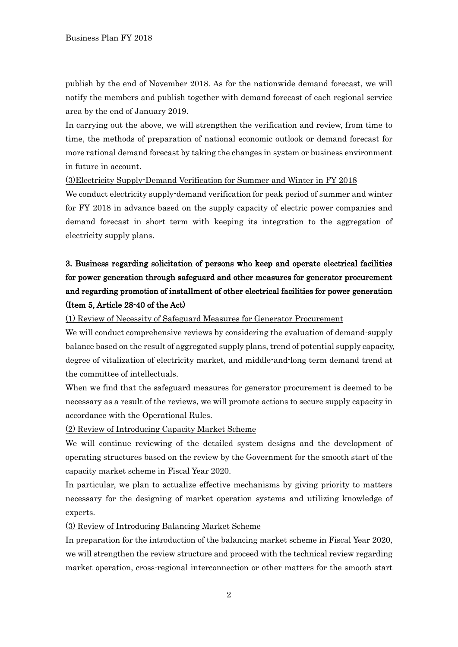publish by the end of November 2018. As for the nationwide demand forecast, we will notify the members and publish together with demand forecast of each regional service area by the end of January 2019.

In carrying out the above, we will strengthen the verification and review, from time to time, the methods of preparation of national economic outlook or demand forecast for more rational demand forecast by taking the changes in system or business environment in future in account.

(3)Electricity Supply-Demand Verification for Summer and Winter in FY 2018

We conduct electricity supply-demand verification for peak period of summer and winter for FY 2018 in advance based on the supply capacity of electric power companies and demand forecast in short term with keeping its integration to the aggregation of electricity supply plans.

# 3. Business regarding solicitation of persons who keep and operate electrical facilities for power generation through safeguard and other measures for generator procurement and regarding promotion of installment of other electrical facilities for power generation (Item 5, Article 28-40 of the Act)

(1) Review of Necessity of Safeguard Measures for Generator Procurement

We will conduct comprehensive reviews by considering the evaluation of demand-supply balance based on the result of aggregated supply plans, trend of potential supply capacity, degree of vitalization of electricity market, and middle-and-long term demand trend at the committee of intellectuals.

When we find that the safeguard measures for generator procurement is deemed to be necessary as a result of the reviews, we will promote actions to secure supply capacity in accordance with the Operational Rules.

(2) Review of Introducing Capacity Market Scheme

We will continue reviewing of the detailed system designs and the development of operating structures based on the review by the Government for the smooth start of the capacity market scheme in Fiscal Year 2020.

In particular, we plan to actualize effective mechanisms by giving priority to matters necessary for the designing of market operation systems and utilizing knowledge of experts.

(3) Review of Introducing Balancing Market Scheme

In preparation for the introduction of the balancing market scheme in Fiscal Year 2020, we will strengthen the review structure and proceed with the technical review regarding market operation, cross-regional interconnection or other matters for the smooth start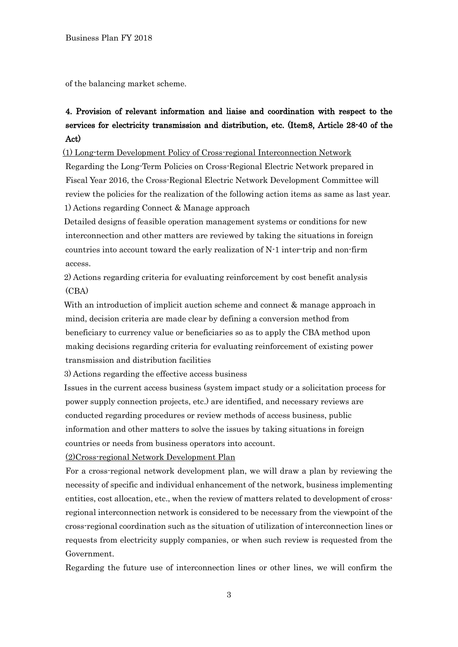of the balancing market scheme.

# 4. Provision of relevant information and liaise and coordination with respect to the services for electricity transmission and distribution, etc. (Item8, Article 28-40 of the Act)

[(1) Long-term Development Policy of Cross-regional Interconnection Network

Regarding the Long-Term Policies on Cross-Regional Electric Network prepared in Fiscal Year 2016, the Cross-Regional Electric Network Development Committee will review the policies for the realization of the following action items as same as last year. 1) Actions regarding Connect & Manage approach

Detailed designs of feasible operation management systems or conditions for new interconnection and other matters are reviewed by taking the situations in foreign countries into account toward the early realization of N-1 inter-trip and non-firm access.

2) Actions regarding criteria for evaluating reinforcement by cost benefit analysis (CBA)

With an introduction of implicit auction scheme and connect & manage approach in mind, decision criteria are made clear by defining a conversion method from beneficiary to currency value or beneficiaries so as to apply the CBA method upon making decisions regarding criteria for evaluating reinforcement of existing power transmission and distribution facilities

3) Actions regarding the effective access business

Issues in the current access business (system impact study or a solicitation process for power supply connection projects, etc.) are identified, and necessary reviews are conducted regarding procedures or review methods of access business, public information and other matters to solve the issues by taking situations in foreign countries or needs from business operators into account.

(2)Cross-regional Network Development Plan

For a cross-regional network development plan, we will draw a plan by reviewing the necessity of specific and individual enhancement of the network, business implementing entities, cost allocation, etc., when the review of matters related to development of crossregional interconnection network is considered to be necessary from the viewpoint of the cross-regional coordination such as the situation of utilization of interconnection lines or requests from electricity supply companies, or when such review is requested from the Government.

Regarding the future use of interconnection lines or other lines, we will confirm the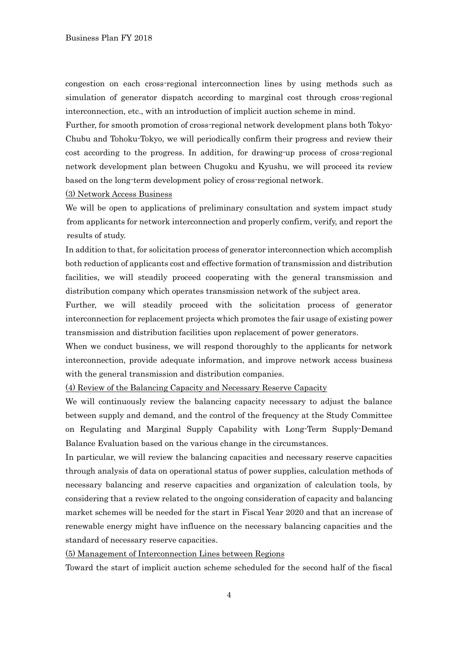congestion on each cross-regional interconnection lines by using methods such as simulation of generator dispatch according to marginal cost through cross-regional interconnection, etc., with an introduction of implicit auction scheme in mind.

Further, for smooth promotion of cross-regional network development plans both Tokyo-Chubu and Tohoku-Tokyo, we will periodically confirm their progress and review their cost according to the progress. In addition, for drawing-up process of cross-regional network development plan between Chugoku and Kyushu, we will proceed its review based on the long-term development policy of cross-regional network.

(3) Network Access Business

We will be open to applications of preliminary consultation and system impact study from applicants for network interconnection and properly confirm, verify, and report the results of study.

In addition to that, for solicitation process of generator interconnection which accomplish both reduction of applicants cost and effective formation of transmission and distribution facilities, we will steadily proceed cooperating with the general transmission and distribution company which operates transmission network of the subject area.

Further, we will steadily proceed with the solicitation process of generator interconnection for replacement projects which promotes the fair usage of existing power transmission and distribution facilities upon replacement of power generators.

When we conduct business, we will respond thoroughly to the applicants for network interconnection, provide adequate information, and improve network access business with the general transmission and distribution companies.

(4) Review of the Balancing Capacity and Necessary Reserve Capacity

We will continuously review the balancing capacity necessary to adjust the balance between supply and demand, and the control of the frequency at the Study Committee on Regulating and Marginal Supply Capability with Long-Term Supply-Demand Balance Evaluation based on the various change in the circumstances.

In particular, we will review the balancing capacities and necessary reserve capacities through analysis of data on operational status of power supplies, calculation methods of necessary balancing and reserve capacities and organization of calculation tools, by considering that a review related to the ongoing consideration of capacity and balancing market schemes will be needed for the start in Fiscal Year 2020 and that an increase of renewable energy might have influence on the necessary balancing capacities and the standard of necessary reserve capacities.

(5) Management of Interconnection Lines between Regions

Toward the start of implicit auction scheme scheduled for the second half of the fiscal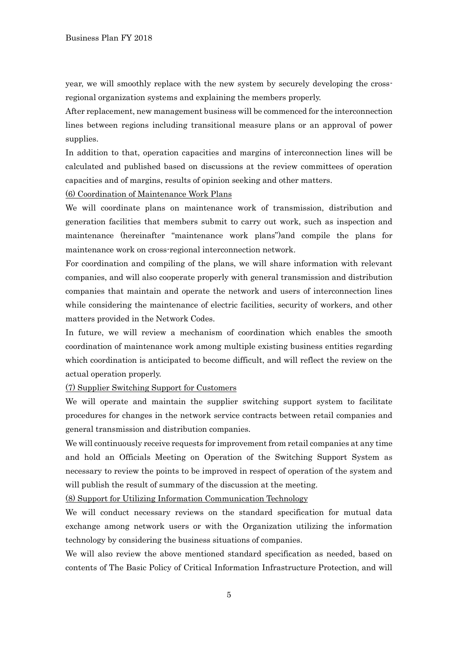year, we will smoothly replace with the new system by securely developing the crossregional organization systems and explaining the members properly.

After replacement, new management business will be commenced for the interconnection lines between regions including transitional measure plans or an approval of power supplies.

In addition to that, operation capacities and margins of interconnection lines will be calculated and published based on discussions at the review committees of operation capacities and of margins, results of opinion seeking and other matters.

(6) Coordination of Maintenance Work Plans

We will coordinate plans on maintenance work of transmission, distribution and generation facilities that members submit to carry out work, such as inspection and maintenance (hereinafter "maintenance work plans")and compile the plans for maintenance work on cross-regional interconnection network.

For coordination and compiling of the plans, we will share information with relevant companies, and will also cooperate properly with general transmission and distribution companies that maintain and operate the network and users of interconnection lines while considering the maintenance of electric facilities, security of workers, and other matters provided in the Network Codes.

In future, we will review a mechanism of coordination which enables the smooth coordination of maintenance work among multiple existing business entities regarding which coordination is anticipated to become difficult, and will reflect the review on the actual operation properly.

(7) Supplier Switching Support for Customers

We will operate and maintain the supplier switching support system to facilitate procedures for changes in the network service contracts between retail companies and general transmission and distribution companies.

We will continuously receive requests for improvement from retail companies at any time and hold an Officials Meeting on Operation of the Switching Support System as necessary to review the points to be improved in respect of operation of the system and will publish the result of summary of the discussion at the meeting.

(8) Support for Utilizing Information Communication Technology

We will conduct necessary reviews on the standard specification for mutual data exchange among network users or with the Organization utilizing the information technology by considering the business situations of companies.

We will also review the above mentioned standard specification as needed, based on contents of The Basic Policy of Critical Information Infrastructure Protection, and will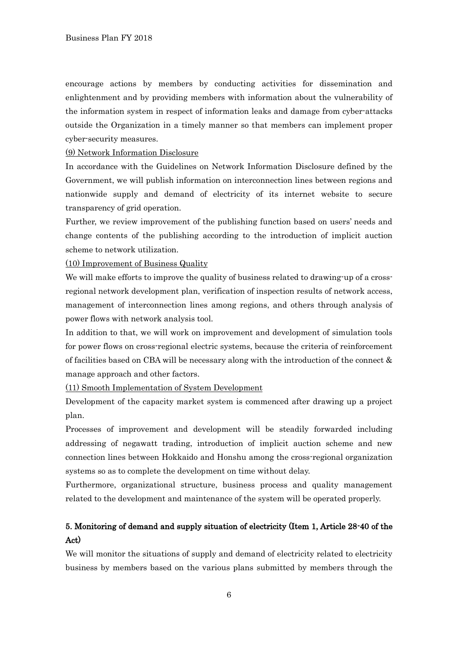encourage actions by members by conducting activities for dissemination and enlightenment and by providing members with information about the vulnerability of the information system in respect of information leaks and damage from cyber-attacks outside the Organization in a timely manner so that members can implement proper cyber-security measures.

#### (9) Network Information Disclosure

In accordance with the Guidelines on Network Information Disclosure defined by the Government, we will publish information on interconnection lines between regions and nationwide supply and demand of electricity of its internet website to secure transparency of grid operation.

Further, we review improvement of the publishing function based on users' needs and change contents of the publishing according to the introduction of implicit auction scheme to network utilization.

(10) Improvement of Business Quality

We will make efforts to improve the quality of business related to drawing-up of a crossregional network development plan, verification of inspection results of network access, management of interconnection lines among regions, and others through analysis of power flows with network analysis tool.

In addition to that, we will work on improvement and development of simulation tools for power flows on cross-regional electric systems, because the criteria of reinforcement of facilities based on CBA will be necessary along with the introduction of the connect & manage approach and other factors.

(11) Smooth Implementation of System Development

Development of the capacity market system is commenced after drawing up a project plan.

Processes of improvement and development will be steadily forwarded including addressing of negawatt trading, introduction of implicit auction scheme and new connection lines between Hokkaido and Honshu among the cross-regional organization systems so as to complete the development on time without delay.

Furthermore, organizational structure, business process and quality management related to the development and maintenance of the system will be operated properly.

# 5. Monitoring of demand and supply situation of electricity (Item 1, Article 28-40 of the Act)

We will monitor the situations of supply and demand of electricity related to electricity business by members based on the various plans submitted by members through the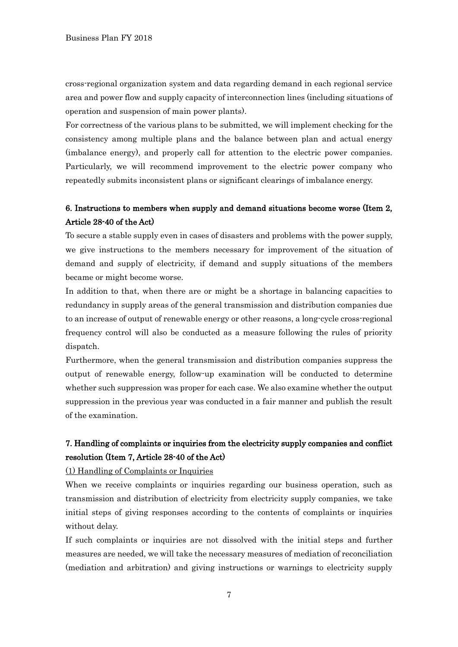cross-regional organization system and data regarding demand in each regional service area and power flow and supply capacity of interconnection lines (including situations of operation and suspension of main power plants).

For correctness of the various plans to be submitted, we will implement checking for the consistency among multiple plans and the balance between plan and actual energy (imbalance energy), and properly call for attention to the electric power companies. Particularly, we will recommend improvement to the electric power company who repeatedly submits inconsistent plans or significant clearings of imbalance energy.

### 6. Instructions to members when supply and demand situations become worse (Item 2, Article 28-40 of the Act)

To secure a stable supply even in cases of disasters and problems with the power supply, we give instructions to the members necessary for improvement of the situation of demand and supply of electricity, if demand and supply situations of the members became or might become worse.

In addition to that, when there are or might be a shortage in balancing capacities to redundancy in supply areas of the general transmission and distribution companies due to an increase of output of renewable energy or other reasons, a long-cycle cross-regional frequency control will also be conducted as a measure following the rules of priority dispatch.

Furthermore, when the general transmission and distribution companies suppress the output of renewable energy, follow-up examination will be conducted to determine whether such suppression was proper for each case. We also examine whether the output suppression in the previous year was conducted in a fair manner and publish the result of the examination.

# 7. Handling of complaints or inquiries from the electricity supply companies and conflict resolution (Item 7, Article 28-40 of the Act)

(1) Handling of Complaints or Inquiries

When we receive complaints or inquiries regarding our business operation, such as transmission and distribution of electricity from electricity supply companies, we take initial steps of giving responses according to the contents of complaints or inquiries without delay.

If such complaints or inquiries are not dissolved with the initial steps and further measures are needed, we will take the necessary measures of mediation of reconciliation (mediation and arbitration) and giving instructions or warnings to electricity supply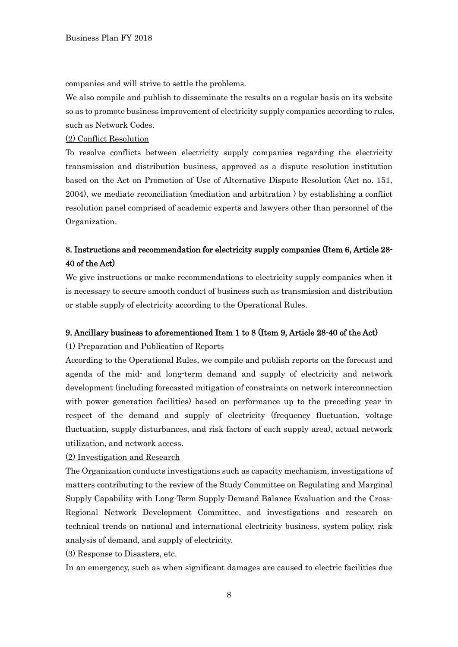companies and will strive to settle the problems.

We also compile and publish to disseminate the results on a regular basis on its website so as to promote business improvement of electricity supply companies according to rules, such as Network Codes.

#### (2) Conflict Resolution

To resolve conflicts between electricity supply companies regarding the electricity transmission and distribution business, approved as a dispute resolution institution based on the Act on Promotion of Use of Alternative Dispute Resolution (Act no. 151, 2004), we mediate reconciliation (mediation and arbitration ) by establishing a conflict resolution panel comprised of academic experts and lawyers other than personnel of the Organization.

### 8. Instructions and recommendation for electricity supply companies (Item 6, Article 28- 40 of the Act)

We give instructions or make recommendations to electricity supply companies when it is necessary to secure smooth conduct of business such as transmission and distribution or stable supply of electricity according to the Operational Rules.

### 9. Ancillary business to aforementioned Item 1 to 8 (Item 9, Article 28-40 of the Act)

#### (1) Preparation and Publication of Reports

According to the Operational Rules, we compile and publish reports on the forecast and agenda of the mid- and long-term demand and supply of electricity and network development (including forecasted mitigation of constraints on network interconnection with power generation facilities) based on performance up to the preceding year in respect of the demand and supply of electricity (frequency fluctuation, voltage fluctuation, supply disturbances, and risk factors of each supply area), actual network utilization, and network access.

#### (2) Investigation and Research

The Organization conducts investigations such as capacity mechanism, investigations of matters contributing to the review of the Study Committee on Regulating and Marginal Supply Capability with Long-Term Supply-Demand Balance Evaluation and the Cross-Regional Network Development Committee, and investigations and research on technical trends on national and international electricity business, system policy, risk analysis of demand, and supply of electricity.

#### (3) Response to Disasters, etc.

In an emergency, such as when significant damages are caused to electric facilities due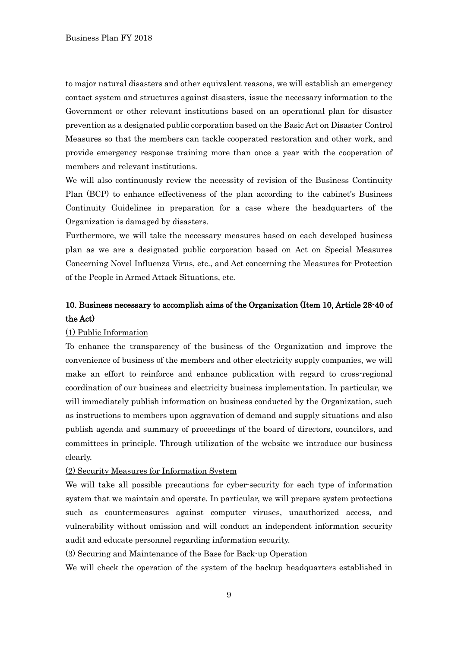to major natural disasters and other equivalent reasons, we will establish an emergency contact system and structures against disasters, issue the necessary information to the Government or other relevant institutions based on an operational plan for disaster prevention as a designated public corporation based on the Basic Act on Disaster Control Measures so that the members can tackle cooperated restoration and other work, and provide emergency response training more than once a year with the cooperation of members and relevant institutions.

We will also continuously review the necessity of revision of the Business Continuity Plan (BCP) to enhance effectiveness of the plan according to the cabinet's Business Continuity Guidelines in preparation for a case where the headquarters of the Organization is damaged by disasters.

Furthermore, we will take the necessary measures based on each developed business plan as we are a designated public corporation based on Act on Special Measures Concerning Novel Influenza Virus, etc., and Act concerning the Measures for Protection of the People in Armed Attack Situations, etc.

## 10. Business necessary to accomplish aims of the Organization (Item 10, Article 28-40 of the Act)

#### (1) Public Information

To enhance the transparency of the business of the Organization and improve the convenience of business of the members and other electricity supply companies, we will make an effort to reinforce and enhance publication with regard to cross-regional coordination of our business and electricity business implementation. In particular, we will immediately publish information on business conducted by the Organization, such as instructions to members upon aggravation of demand and supply situations and also publish agenda and summary of proceedings of the board of directors, councilors, and committees in principle. Through utilization of the website we introduce our business clearly.

#### (2) Security Measures for Information System

We will take all possible precautions for cyber-security for each type of information system that we maintain and operate. In particular, we will prepare system protections such as countermeasures against computer viruses, unauthorized access, and vulnerability without omission and will conduct an independent information security audit and educate personnel regarding information security.

(3) Securing and Maintenance of the Base for Back-up Operation

We will check the operation of the system of the backup headquarters established in